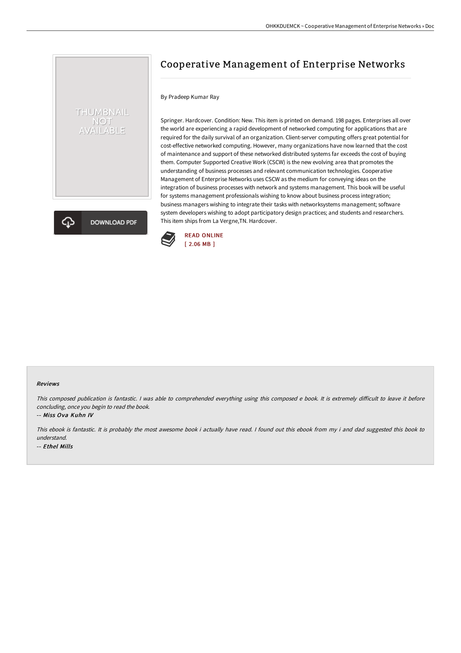## Cooperative Management of Enterprise Networks

## By Pradeep Kumar Ray

THUMBNAIL NOT<br>AVAILABLE

**DOWNLOAD PDF** 

Springer. Hardcover. Condition: New. This item is printed on demand. 198 pages. Enterprises all over the world are experiencing a rapid development of networked computing for applications that are required for the daily survival of an organization. Client-server computing offers great potential for cost-effective networked computing. However, many organizations have now learned that the cost of maintenance and support of these networked distributed systems far exceeds the cost of buying them. Computer Supported Creative Work (CSCW) is the new evolving area that promotes the understanding of business processes and relevant communication technologies. Cooperative Management of Enterprise Networks uses CSCW as the medium for conveying ideas on the integration of business processes with network and systems management. This book will be useful for systems management professionals wishing to know about business process integration; business managers wishing to integrate their tasks with networksystems management; software system developers wishing to adopt participatory design practices; and students and researchers. This item ships from La Vergne,TN. Hardcover.



## Reviews

This composed publication is fantastic. I was able to comprehended everything using this composed e book. It is extremely difficult to leave it before concluding, once you begin to read the book.

-- Miss Ova Kuhn IV

This ebook is fantastic. It is probably the most awesome book i actually have read. <sup>I</sup> found out this ebook from my i and dad suggested this book to understand. -- Ethel Mills